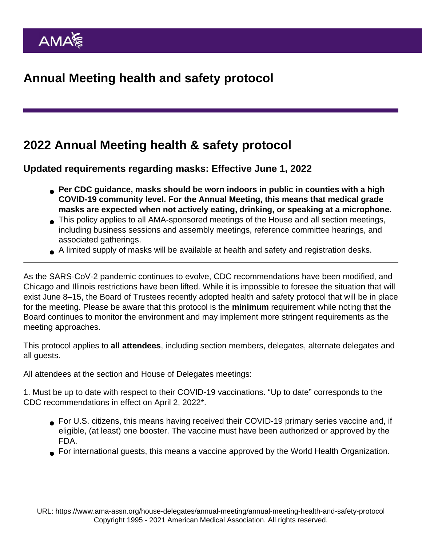## 2022 Annual Meeting health & safety protocol

Updated requirements regarding masks: Effective June 1, 2022

- Per CDC guidance, masks should be worn indoors in public in counties with a high COVID-19 community level. For the Annual Meeting, this means that medical grade masks are expected when not actively eating, drinking, or speaking at a microphone.
- This policy applies to all AMA-sponsored meetings of the House and all section meetings, including business sessions and assembly meetings, reference committee hearings, and associated gatherings.
- A limited supply of masks will be available at health and safety and registration desks.

As the SARS-CoV-2 pandemic continues to evolve, CDC recommendations have been modified, and Chicago and Illinois restrictions have been lifted. While it is impossible to foresee the situation that will exist June 8–15, the Board of Trustees recently adopted health and safety protocol that will be in place for the meeting. Please be aware that this protocol is the minimum requirement while noting that the Board continues to monitor the environment and may implement more stringent requirements as the meeting approaches.

This protocol applies to all attendees , including section members, delegates, alternate delegates and all guests.

All attendees at the section and House of Delegates meetings:

1. Must be up to date with respect to their COVID-19 vaccinations. "Up to date" corresponds to the CDC recommendations in effect on April 2, 2022\*.

- For U.S. citizens, this means having received their COVID-19 primary series vaccine and, if eligible, (at least) one booster. The vaccine must have been authorized or approved by the FDA.
- For international guests, this means a vaccine approved by the World Health Organization.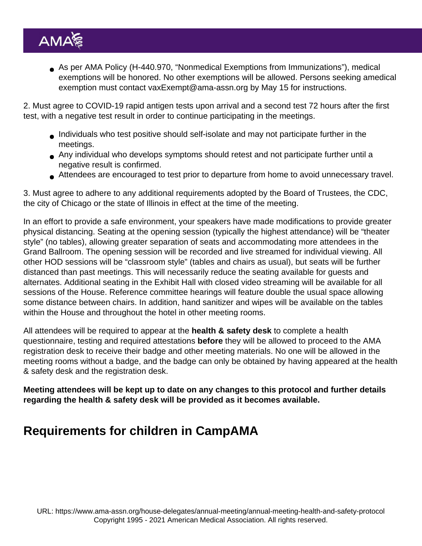As per AMA Policy (H-440.970, "Nonmedical Exemptions from Immunizations"), medical exemptions will be honored. No other exemptions will be allowed. Persons seeking amedical exemption must contact [vaxExempt@ama-assn.org](mailto:vaxExempt@ama-assn.org) by May 15 for instructions.

2. Must agree to COVID-19 rapid antigen tests upon arrival and a second test 72 hours after the first test, with a negative test result in order to continue participating in the meetings.

- Individuals who test positive should self-isolate and may not participate further in the meetings.
- Any individual who develops symptoms should retest and not participate further until a negative result is confirmed.
- Attendees are encouraged to test prior to departure from home to avoid unnecessary travel.

3. Must agree to adhere to any additional requirements adopted by the Board of Trustees, the CDC, the city of Chicago or the state of Illinois in effect at the time of the meeting.

In an effort to provide a safe environment, your speakers have made modifications to provide greater physical distancing. Seating at the opening session (typically the highest attendance) will be "theater style" (no tables), allowing greater separation of seats and accommodating more attendees in the Grand Ballroom. The opening session will be recorded and live streamed for individual viewing. All other HOD sessions will be "classroom style" (tables and chairs as usual), but seats will be further distanced than past meetings. This will necessarily reduce the seating available for guests and alternates. Additional seating in the Exhibit Hall with closed video streaming will be available for all sessions of the House. Reference committee hearings will feature double the usual space allowing some distance between chairs. In addition, hand sanitizer and wipes will be available on the tables within the House and throughout the hotel in other meeting rooms.

All attendees will be required to appear at the health & safety desk to complete a health questionnaire, testing and required attestations before they will be allowed to proceed to the AMA registration desk to receive their badge and other meeting materials. No one will be allowed in the meeting rooms without a badge, and the badge can only be obtained by having appeared at the health & safety desk and the registration desk.

Meeting attendees will be kept up to date on any changes to this protocol and further details regarding the health & safety desk will be provided as it becomes available.

## Requirements for children in CampAMA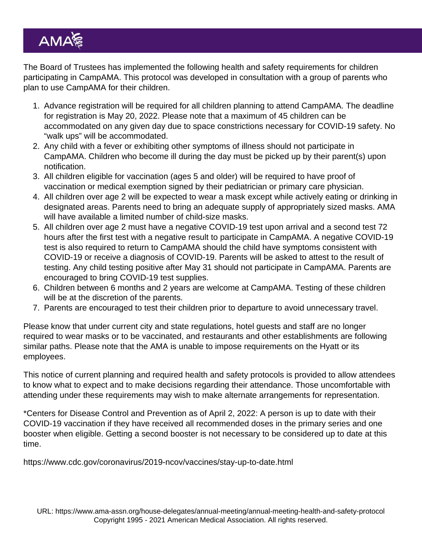The Board of Trustees has implemented the following health and safety requirements for children participating in CampAMA. This protocol was developed in consultation with a group of parents who plan to use CampAMA for their children.

- 1. Advance registration will be required for all children planning to attend CampAMA. The deadline for registration is May 20, 2022. Please note that a maximum of 45 children can be accommodated on any given day due to space constrictions necessary for COVID-19 safety. No "walk ups" will be accommodated.
- 2. Any child with a fever or exhibiting other symptoms of illness should not participate in CampAMA. Children who become ill during the day must be picked up by their parent(s) upon notification.
- 3. All children eligible for vaccination (ages 5 and older) will be required to have proof of vaccination or medical exemption signed by their pediatrician or primary care physician.
- 4. All children over age 2 will be expected to wear a mask except while actively eating or drinking in designated areas. Parents need to bring an adequate supply of appropriately sized masks. AMA will have available a limited number of child-size masks.
- 5. All children over age 2 must have a negative COVID-19 test upon arrival and a second test 72 hours after the first test with a negative result to participate in CampAMA. A negative COVID-19 test is also required to return to CampAMA should the child have symptoms consistent with COVID-19 or receive a diagnosis of COVID-19. Parents will be asked to attest to the result of testing. Any child testing positive after May 31 should not participate in CampAMA. Parents are encouraged to bring COVID-19 test supplies.
- 6. Children between 6 months and 2 years are welcome at CampAMA. Testing of these children will be at the discretion of the parents.
- 7. Parents are encouraged to test their children prior to departure to avoid unnecessary travel.

Please know that under current city and state regulations, hotel guests and staff are no longer required to wear masks or to be vaccinated, and restaurants and other establishments are following similar paths. Please note that the AMA is unable to impose requirements on the Hyatt or its employees.

This notice of current planning and required health and safety protocols is provided to allow attendees to know what to expect and to make decisions regarding their attendance. Those uncomfortable with attending under these requirements may wish to make alternate arrangements for representation.

\*Centers for Disease Control and Prevention as of April 2, 2022: A person is up to date with their COVID-19 vaccination if they have received all recommended doses in the primary series and [one](https://urldefense.com/v3/__https:/www.cdc.gov/coronavirus/2019-ncov/vaccines/booster-shot.html__;!!AI0rnoUB!7wdrQTN52yqE9f5kAAhXuW1jV_edz_419RxDvGQPwLOYq32GvVyrYabIbZoCi3nbwwVEQW-Zh-zXR5nGM-_zAyQVXsratJ0frWS_$) [booster](https://urldefense.com/v3/__https:/www.cdc.gov/coronavirus/2019-ncov/vaccines/booster-shot.html__;!!AI0rnoUB!7wdrQTN52yqE9f5kAAhXuW1jV_edz_419RxDvGQPwLOYq32GvVyrYabIbZoCi3nbwwVEQW-Zh-zXR5nGM-_zAyQVXsratJ0frWS_$) when eligible. Getting a second booster is not necessary to be considered up to date at this time.

[https://www.cdc.gov/coronavirus/2019-ncov/vaccines/stay-up-to-date.html](https://urldefense.com/v3/__https:/www.cdc.gov/coronavirus/2019-ncov/vaccines/stay-up-to-date.html__;!!AI0rnoUB!7wdrQTN52yqE9f5kAAhXuW1jV_edz_419RxDvGQPwLOYq32GvVyrYabIbZoCi3nbwwVEQW-Zh-zXR5nGM-_zAyQVXsratKfPFz_v$)